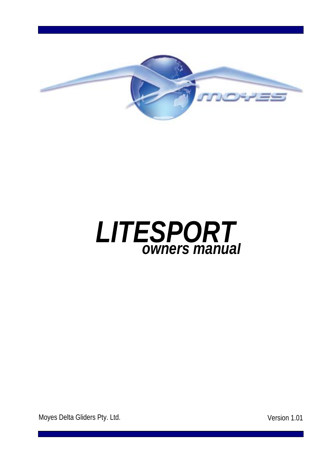



Moyes Delta Gliders Pty. Ltd. **Version 1.01**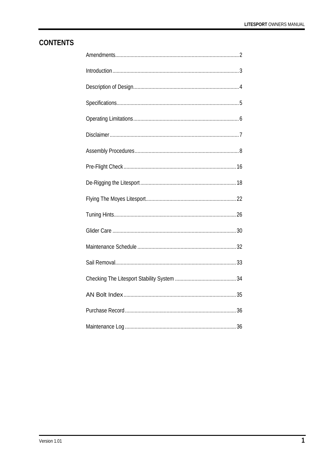# **CONTENTS**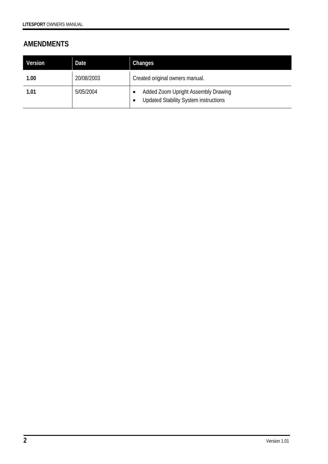# **AMENDMENTS**

| Version | Date       | Changes                                                                             |
|---------|------------|-------------------------------------------------------------------------------------|
| 1.00    | 20/08/2003 | Created original owners manual.                                                     |
| 1.01    | 5/05/2004  | Added Zoom Upright Assembly Drawing<br><b>Updated Stability System instructions</b> |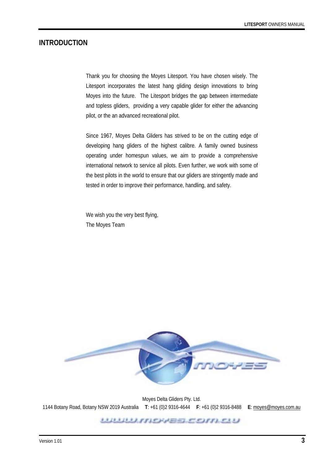#### **INTRODUCTION**

Thank you for choosing the Moyes Litesport. You have chosen wisely. The Litesport incorporates the latest hang gliding design innovations to bring Moyes into the future. The Litesport bridges the gap between intermediate and topless gliders, providing a very capable glider for either the advancing pilot, or the an advanced recreational pilot.

Since 1967, Moyes Delta Gliders has strived to be on the cutting edge of developing hang gliders of the highest calibre. A family owned business operating under homespun values, we aim to provide a comprehensive international network to service all pilots. Even further, we work with some of the best pilots in the world to ensure that our gliders are stringently made and tested in order to improve their performance, handling, and safety.

We wish you the very best flying, The Moyes Team



Moyes Delta Gliders Pty. Ltd. 1144 Botany Road, Botany NSW 2019 Australia **T**: +61 (0)2 9316-4644 **F**: +61 (0)2 9316-8488 **E**: moyes@moyes.com.au

\*\*\*\*\*\*\*\*\*\*\*\*\*\*\*\*\*\*\*\*\*\*\*\*\*\*\*\*\*\*\*\*\*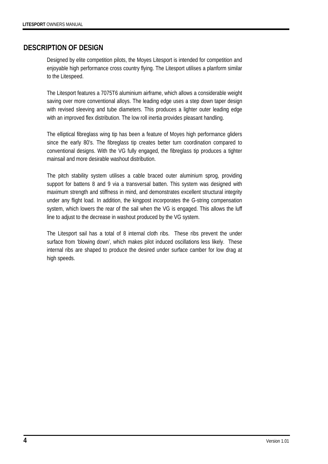## **DESCRIPTION OF DESIGN**

Designed by elite competition pilots, the Moyes Litesport is intended for competition and enjoyable high performance cross country flying. The Litesport utilises a planform similar to the Litespeed.

The Litesport features a 7075T6 aluminium airframe, which allows a considerable weight saving over more conventional alloys. The leading edge uses a step down taper design with revised sleeving and tube diameters. This produces a lighter outer leading edge with an improved flex distribution. The low roll inertia provides pleasant handling.

The elliptical fibreglass wing tip has been a feature of Moyes high performance gliders since the early 80's. The fibreglass tip creates better turn coordination compared to conventional designs. With the VG fully engaged, the fibreglass tip produces a tighter mainsail and more desirable washout distribution.

The pitch stability system utilises a cable braced outer aluminium sprog, providing support for battens 8 and 9 via a transversal batten. This system was designed with maximum strength and stiffness in mind, and demonstrates excellent structural integrity under any flight load. In addition, the kingpost incorporates the G-string compensation system, which lowers the rear of the sail when the VG is engaged. This allows the luff line to adjust to the decrease in washout produced by the VG system.

The Litesport sail has a total of 8 internal cloth ribs. These ribs prevent the under surface from 'blowing down', which makes pilot induced oscillations less likely. These internal ribs are shaped to produce the desired under surface camber for low drag at high speeds.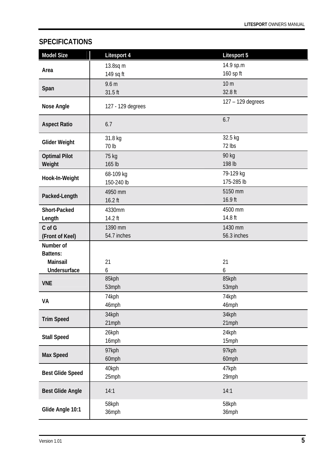# **SPECIFICATIONS**

| <b>Model Size</b>         | Litesport 4            | <b>Litesport 5</b>     |
|---------------------------|------------------------|------------------------|
|                           | 13.8sq m               | 14.9 sp.m              |
| Area                      | 149 sq ft              | 160 sp ft              |
|                           | 9.6 <sub>m</sub>       | 10 <sub>m</sub>        |
| Span                      | 31.5 ft                | 32.8 ft                |
| <b>Nose Angle</b>         | 127 - 129 degrees      | 127 - 129 degrees      |
| <b>Aspect Ratio</b>       | 6.7                    | 6.7                    |
| <b>Glider Weight</b>      | 31.8 kg                | 32.5 kg                |
|                           | 70 lb                  | 72 lbs                 |
| <b>Optimal Pilot</b>      | 75 kg                  | 90 kg                  |
| Weight                    | 165 lb                 | 198 lb                 |
| Hook-In-Weight            | 68-109 kg              | 79-129 kg              |
|                           | 150-240 lb             | 175-285 lb             |
| Packed-Length             | 4950 mm                | 5150 mm                |
|                           | 16.2 ft                | 16.9 ft                |
| Short-Packed              | 4330mm                 | 4500 mm<br>14.8 ft     |
| Length                    | 14.2 ft                |                        |
| C of G<br>(Front of Keel) | 1390 mm<br>54.7 inches | 1430 mm<br>56.3 inches |
| Number of                 |                        |                        |
| <b>Battens:</b>           |                        |                        |
| Mainsail                  | 21                     | 21                     |
| Undersurface              | 6                      | 6                      |
|                           | 85kph                  | 85kph                  |
| <b>VNE</b>                | 53mph                  | 53mph                  |
| VA                        | 74kph                  | 74kph                  |
|                           | 46mph                  | 46mph                  |
| <b>Trim Speed</b>         | 34kph                  | 34kph                  |
|                           | 21mph                  | 21mph                  |
| <b>Stall Speed</b>        | 26kph                  | 24kph                  |
|                           | 16mph                  | 15mph                  |
| <b>Max Speed</b>          | 97kph                  | 97kph                  |
|                           | 60mph                  | 60mph                  |
| <b>Best Glide Speed</b>   | 40kph                  | 47kph                  |
|                           | 25mph                  | 29mph                  |
| <b>Best Glide Angle</b>   | 14:1                   | 14:1                   |
| Glide Angle 10:1          | 58kph                  | 58kph                  |
|                           | 36mph                  | 36mph                  |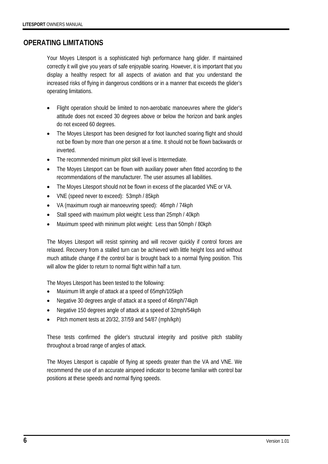### **OPERATING LIMITATIONS**

Your Moyes Litesport is a sophisticated high performance hang glider. If maintained correctly it will give you years of safe enjoyable soaring. However, it is important that you display a healthy respect for all aspects of aviation and that you understand the increased risks of flying in dangerous conditions or in a manner that exceeds the glider's operating limitations.

- Flight operation should be limited to non-aerobatic manoeuvres where the glider's attitude does not exceed 30 degrees above or below the horizon and bank angles do not exceed 60 degrees.
- The Moyes Litesport has been designed for foot launched soaring flight and should not be flown by more than one person at a time. It should not be flown backwards or inverted.
- The recommended minimum pilot skill level is Intermediate.
- The Moyes Litesport can be flown with auxiliary power when fitted according to the recommendations of the manufacturer. The user assumes all liabilities.
- The Moyes Litesport should not be flown in excess of the placarded VNE or VA.
- VNE (speed never to exceed): 53mph / 85kph
- VA (maximum rough air manoeuvring speed): 46mph / 74kph
- Stall speed with maximum pilot weight: Less than 25mph / 40kph
- Maximum speed with minimum pilot weight: Less than 50mph / 80kph

The Moyes Litesport will resist spinning and will recover quickly if control forces are relaxed. Recovery from a stalled turn can be achieved with little height loss and without much attitude change if the control bar is brought back to a normal flying position. This will allow the glider to return to normal flight within half a turn.

The Moyes Litesport has been tested to the following:

- Maximum lift angle of attack at a speed of 65mph/105kph
- Negative 30 degrees angle of attack at a speed of 46mph/74kph
- Negative 150 degrees angle of attack at a speed of 32mph/54kph
- Pitch moment tests at 20/32, 37/59 and 54/87 (mph/kph)

These tests confirmed the glider's structural integrity and positive pitch stability throughout a broad range of angles of attack.

The Moyes Litesport is capable of flying at speeds greater than the VA and VNE. We recommend the use of an accurate airspeed indicator to become familiar with control bar positions at these speeds and normal flying speeds.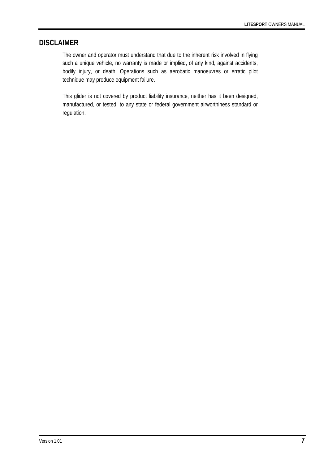### **DISCLAIMER**

The owner and operator must understand that due to the inherent risk involved in flying such a unique vehicle, no warranty is made or implied, of any kind, against accidents, bodily injury, or death. Operations such as aerobatic manoeuvres or erratic pilot technique may produce equipment failure.

This glider is not covered by product liability insurance, neither has it been designed, manufactured, or tested, to any state or federal government airworthiness standard or regulation.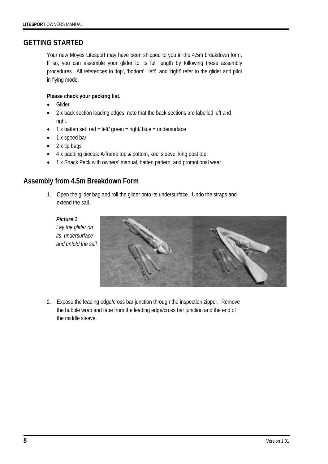### **GETTING STARTED**

Your new Moyes Litesport may have been shipped to you in the 4.5m breakdown form. If so, you can assemble your glider to its full length by following these assembly procedures. All references to 'top', 'bottom', 'left', and 'right' refer to the glider and pilot in flying mode.

#### **Please check your packing list.**

- Glider
- 2 x back section leading edges: note that the back sections are labelled left and right.
- $\bullet$  1 x batten set: red = left/ green = right/ blue = undersurface
- 1 x speed bar
- 2 x tip bags
- 4 x padding pieces: A-frame top & bottom, keel sleeve, king post top
- 1 x Snack Pack with owners' manual, batten pattern, and promotional wear.

### **Assembly from 4.5m Breakdown Form**

1. Open the glider bag and roll the glider onto its undersurface. Undo the straps and extend the sail.

*Picture 1 Lay the glider on its undersurface and unfold the sail.* 



2. Expose the leading edge/cross bar junction through the inspection zipper. Remove the bubble wrap and tape from the leading edge/cross bar junction and the end of the middle sleeve.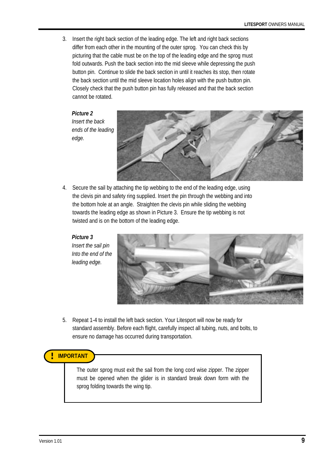3. Insert the right back section of the leading edge. The left and right back sections differ from each other in the mounting of the outer sprog. You can check this by picturing that the cable must be on the top of the leading edge and the sprog must fold outwards. Push the back section into the mid sleeve while depressing the push button pin. Continue to slide the back section in until it reaches its stop, then rotate the back section until the mid sleeve location holes align with the push button pin. Closely check that the push button pin has fully released and that the back section cannot be rotated.

*Picture 2 Insert the back ends of the leading edge.* 



4. Secure the sail by attaching the tip webbing to the end of the leading edge, using the clevis pin and safety ring supplied. Insert the pin through the webbing and into the bottom hole at an angle. Straighten the clevis pin while sliding the webbing towards the leading edge as shown in Picture 3. Ensure the tip webbing is not twisted and is on the bottom of the leading edge.

*Picture 3 Insert the sail pin Into the end of the leading edge.* 



5. Repeat 1-4 to install the left back section. Your Litesport will now be ready for standard assembly. Before each flight, carefully inspect all tubing, nuts, and bolts, to ensure no damage has occurred during transportation.

### **! IMPORTANT**

The outer sprog must exit the sail from the long cord wise zipper. The zipper must be opened when the glider is in standard break down form with the sprog folding towards the wing tip.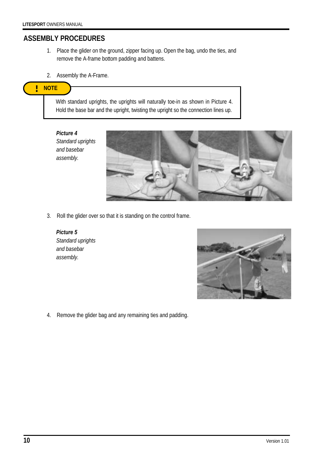## **ASSEMBLY PROCEDURES**

- 1. Place the glider on the ground, zipper facing up. Open the bag, undo the ties, and remove the A-frame bottom padding and battens.
- 2. Assembly the A-Frame.

#### **NOTE !**

With standard uprights, the uprights will naturally toe-in as shown in Picture 4. Hold the base bar and the upright, twisting the upright so the connection lines up.

*Picture 4 Standard uprights and basebar assembly.* 



3. Roll the glider over so that it is standing on the control frame.

*Picture 5 Standard uprights and basebar assembly.* 



4. Remove the glider bag and any remaining ties and padding.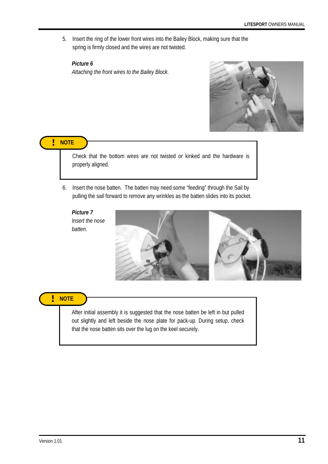5. Insert the ring of the lower front wires into the Bailey Block, making sure that the spring is firmly closed and the wires are not twisted.

### *Picture 6*

*Attaching the front wires to the Bailey Block.* 



**! NOTE** 

Check that the bottom wires are not twisted or kinked and the hardware is properly aligned.

6. Insert the nose batten. The batten may need some "feeding" through the Sail by pulling the sail forward to remove any wrinkles as the batten slides into its pocket.

*Picture 7 Insert the nose batten.* 



# **! NOTE**

After initial assembly it is suggested that the nose batten be left in but pulled out slightly and left beside the nose plate for pack-up. During setup, check that the nose batten sits over the lug on the keel securely.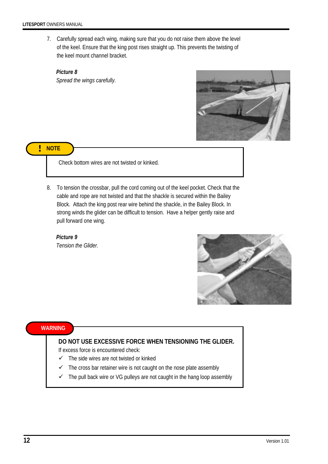7. Carefully spread each wing, making sure that you do not raise them above the level of the keel. Ensure that the king post rises straight up. This prevents the twisting of the keel mount channel bracket.

*Picture 8 Spread the wings carefully.* 



**! NOTE** 

Check bottom wires are not twisted or kinked.

8. To tension the crossbar, pull the cord coming out of the keel pocket. Check that the cable and rope are not twisted and that the shackle is secured within the Bailey Block. Attach the king post rear wire behind the shackle, in the Bailey Block. In strong winds the glider can be difficult to tension. Have a helper gently raise and pull forward one wing.

*Picture 9 Tension the Glider.* 



#### **WARNING**

### **DO NOT USE EXCESSIVE FORCE WHEN TENSIONING THE GLIDER.**

If excess force is encountered check:

- $\checkmark$  The side wires are not twisted or kinked
- $\checkmark$  The cross bar retainer wire is not caught on the nose plate assembly
- $\checkmark$  The pull back wire or VG pulleys are not caught in the hang loop assembly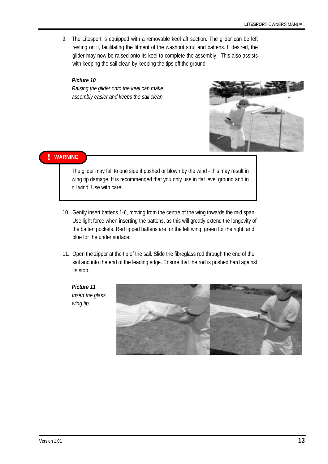9. The Litesport is equipped with a removable keel aft section. The glider can be left resting on it, facilitating the fitment of the washout strut and battens. If desired, the glider may now be raised onto its keel to complete the assembly. This also assists with keeping the sail clean by keeping the tips off the ground.

#### *Picture 10*

*Raising the glider onto the keel can make assembly easier and keeps the sail clean.* 



#### **! WARNING**

The glider may fall to one side if pushed or blown by the wind - this may result in wing tip damage. It is recommended that you only use in flat level ground and in nil wind. Use with care!

- 10. Gently insert battens 1-6, moving from the centre of the wing towards the mid span. Use light force when inserting the battens, as this will greatly extend the longevity of the batten pockets. Red tipped battens are for the left wing, green for the right, and blue for the under surface.
- 11. Open the zipper at the tip of the sail. Slide the fibreglass rod through the end of the sail and into the end of the leading edge. Ensure that the rod is pushed hard against its stop.

*Picture 11 Insert the glass wing tip* 

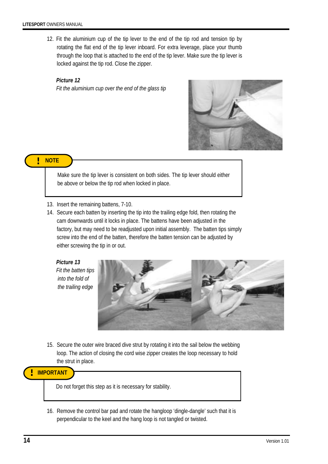12. Fit the aluminium cup of the tip lever to the end of the tip rod and tension tip by rotating the flat end of the tip lever inboard. For extra leverage, place your thumb through the loop that is attached to the end of the tip lever. Make sure the tip lever is locked against the tip rod. Close the zipper.

*Picture 12 Fit the aluminium cup over the end of the glass tip* 



#### **! NOTE**

Make sure the tip lever is consistent on both sides. The tip lever should either be above or below the tip rod when locked in place.

- 13. Insert the remaining battens, 7-10.
- 14. Secure each batten by inserting the tip into the trailing edge fold, then rotating the cam downwards until it locks in place. The battens have been adjusted in the factory, but may need to be readjusted upon initial assembly. The batten tips simply screw into the end of the batten, therefore the batten tension can be adjusted by either screwing the tip in or out.

*Picture 13 Fit the batten tips into the fold of the trailing edge* 



15. Secure the outer wire braced dive strut by rotating it into the sail below the webbing loop. The action of closing the cord wise zipper creates the loop necessary to hold the strut in place.

**! IMPORTANT** 

Do not forget this step as it is necessary for stability.

16. Remove the control bar pad and rotate the hangloop 'dingle-dangle' such that it is perpendicular to the keel and the hang loop is not tangled or twisted.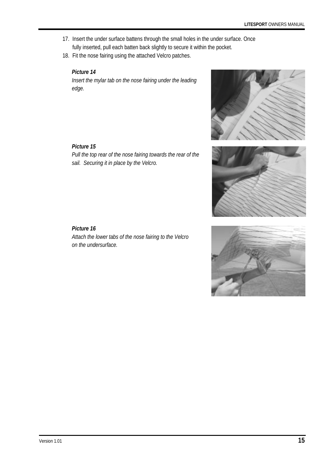- 17. Insert the under surface battens through the small holes in the under surface. Once fully inserted, pull each batten back slightly to secure it within the pocket.
- 18. Fit the nose fairing using the attached Velcro patches.

#### *Picture 14*

*Insert the mylar tab on the nose fairing under the leading edge.* 

#### *Picture 15*

*Pull the top rear of the nose fairing towards the rear of the sail. Securing it in place by the Velcro.* 





#### *Picture 16*

*Attach the lower tabs of the nose fairing to the Velcro on the undersurface.* 

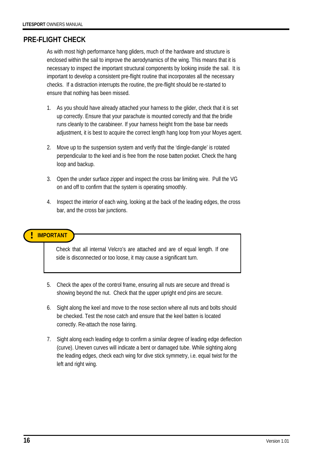# **PRE-FLIGHT CHECK**

As with most high performance hang gliders, much of the hardware and structure is enclosed within the sail to improve the aerodynamics of the wing. This means that it is necessary to inspect the important structural components by looking inside the sail. It is important to develop a consistent pre-flight routine that incorporates all the necessary checks. If a distraction interrupts the routine, the pre-flight should be re-started to ensure that nothing has been missed.

- 1. As you should have already attached your harness to the glider, check that it is set up correctly. Ensure that your parachute is mounted correctly and that the bridle runs cleanly to the carabineer. If your harness height from the base bar needs adjustment, it is best to acquire the correct length hang loop from your Moyes agent.
- 2. Move up to the suspension system and verify that the 'dingle-dangle' is rotated perpendicular to the keel and is free from the nose batten pocket. Check the hang loop and backup.
- 3. Open the under surface zipper and inspect the cross bar limiting wire. Pull the VG on and off to confirm that the system is operating smoothly.
- 4. Inspect the interior of each wing, looking at the back of the leading edges, the cross bar, and the cross bar junctions.

### **! IMPORTANT**

Check that all internal Velcro's are attached and are of equal length. If one side is disconnected or too loose, it may cause a significant turn.

- 5. Check the apex of the control frame, ensuring all nuts are secure and thread is showing beyond the nut. Check that the upper upright end pins are secure.
- 6. Sight along the keel and move to the nose section where all nuts and bolts should be checked. Test the nose catch and ensure that the keel batten is located correctly. Re-attach the nose fairing.
- 7. Sight along each leading edge to confirm a similar degree of leading edge deflection (curve). Uneven curves will indicate a bent or damaged tube. While sighting along the leading edges, check each wing for dive stick symmetry, i.e. equal twist for the left and right wing.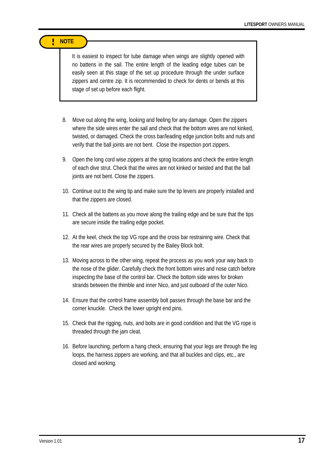#### **! NOTE**

It is easiest to inspect for tube damage when wings are slightly opened with no battens in the sail. The entire length of the leading edge tubes can be easily seen at this stage of the set up procedure through the under surface zippers and centre zip. It is recommended to check for dents or bends at this stage of set up before each flight.

- 8. Move out along the wing, looking and feeling for any damage. Open the zippers where the side wires enter the sail and check that the bottom wires are not kinked, twisted, or damaged. Check the cross bar/leading edge junction bolts and nuts and verify that the ball joints are not bent. Close the inspection port zippers.
- 9. Open the long cord wise zippers at the sprog locations and check the entire length of each dive strut. Check that the wires are not kinked or twisted and that the ball joints are not bent. Close the zippers.
- 10. Continue out to the wing tip and make sure the tip levers are properly installed and that the zippers are closed.
- 11. Check all the battens as you move along the trailing edge and be sure that the tips are secure inside the trailing edge pocket.
- 12. At the keel, check the top VG rope and the cross bar restraining wire. Check that the rear wires are properly secured by the Bailey Block bolt.
- 13. Moving across to the other wing, repeat the process as you work your way back to the nose of the glider. Carefully check the front bottom wires and nose catch before inspecting the base of the control bar. Check the bottom side wires for broken strands between the thimble and inner Nico, and just outboard of the outer Nico.
- 14. Ensure that the control frame assembly bolt passes through the base bar and the corner knuckle. Check the lower upright end pins.
- 15. Check that the rigging, nuts, and bolts are in good condition and that the VG rope is threaded through the jam cleat.
- 16. Before launching, perform a hang check, ensuring that your legs are through the leg loops, the harness zippers are working, and that all buckles and clips, etc., are closed and working.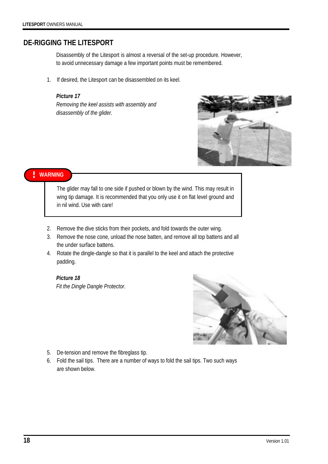### **DE-RIGGING THE LITESPORT**

Disassembly of the Litesport is almost a reversal of the set-up procedure. However, to avoid unnecessary damage a few important points must be remembered.

1. If desired, the Litesport can be disassembled on its keel.

#### *Picture 17*

*Removing the keel assists with assembly and disassembly of the glider.* 



### **! WARNING**

The glider may fall to one side if pushed or blown by the wind. This may result in wing tip damage. It is recommended that you only use it on flat level ground and in nil wind. Use with care!

- 2. Remove the dive sticks from their pockets, and fold towards the outer wing.
- 3. Remove the nose cone, unload the nose batten, and remove all top battens and all the under surface battens.
- 4. Rotate the dingle-dangle so that it is parallel to the keel and attach the protective padding.

# *Picture 18*

*Fit the Dingle Dangle Protector.* 



- 5. De-tension and remove the fibreglass tip.
- 6. Fold the sail tips. There are a number of ways to fold the sail tips. Two such ways are shown below.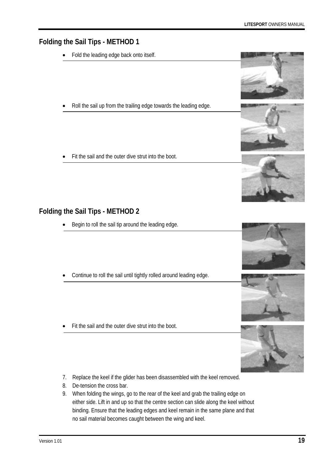# **Folding the Sail Tips - METHOD 1**

- Fold the leading edge back onto itself.
- Roll the sail up from the trailing edge towards the leading edge.
- Fit the sail and the outer dive strut into the boot.

# **Folding the Sail Tips - METHOD 2**

- Begin to roll the sail tip around the leading edge.
- Continue to roll the sail until tightly rolled around leading edge.
- Fit the sail and the outer dive strut into the boot.
- 7. Replace the keel if the glider has been disassembled with the keel removed.
- 8. De-tension the cross bar.
- 9. When folding the wings, go to the rear of the keel and grab the trailing edge on either side. Lift in and up so that the centre section can slide along the keel without binding. Ensure that the leading edges and keel remain in the same plane and that no sail material becomes caught between the wing and keel.









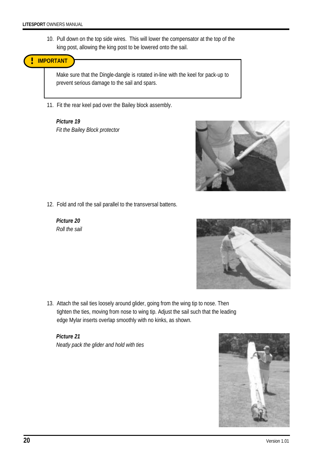10. Pull down on the top side wires. This will lower the compensator at the top of the king post, allowing the king post to be lowered onto the sail.



Make sure that the Dingle-dangle is rotated in-line with the keel for pack-up to prevent serious damage to the sail and spars.

11. Fit the rear keel pad over the Bailey block assembly.

#### *Picture 19 Fit the Bailey Block protector*



12. Fold and roll the sail parallel to the transversal battens.

*Picture 20 Roll the sail* 



13. Attach the sail ties loosely around glider, going from the wing tip to nose. Then tighten the ties, moving from nose to wing tip. Adjust the sail such that the leading edge Mylar inserts overlap smoothly with no kinks, as shown.

*Picture 21 Neatly pack the glider and hold with ties* 

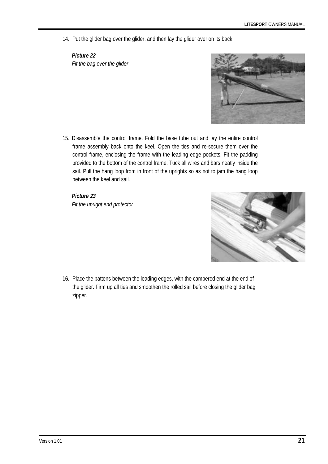14. Put the glider bag over the glider, and then lay the glider over on its back.

*Picture 22 Fit the bag over the glider* 



15. Disassemble the control frame. Fold the base tube out and lay the entire control frame assembly back onto the keel. Open the ties and re-secure them over the control frame, enclosing the frame with the leading edge pockets. Fit the padding provided to the bottom of the control frame. Tuck all wires and bars neatly inside the sail. Pull the hang loop from in front of the uprights so as not to jam the hang loop between the keel and sail.

*Picture 23 Fit the upright end protector* 



**16.** Place the battens between the leading edges, with the cambered end at the end of the glider. Firm up all ties and smoothen the rolled sail before closing the glider bag zipper.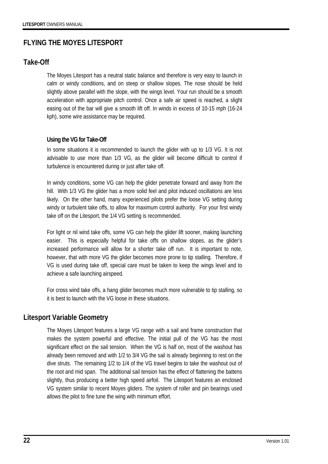# **FLYING THE MOYES LITESPORT**

### **Take-Off**

The Moyes Litesport has a neutral static balance and therefore is very easy to launch in calm or windy conditions, and on steep or shallow slopes. The nose should be held slightly above parallel with the slope, with the wings level. Your run should be a smooth acceleration with appropriate pitch control. Once a safe air speed is reached, a slight easing out of the bar will give a smooth lift off. In winds in excess of 10-15 mph (16-24 kph), some wire assistance may be required.

#### **Using the VG for Take-Off**

In some situations it is recommended to launch the glider with up to 1/3 VG. It is not advisable to use more than 1/3 VG, as the glider will become difficult to control if turbulence is encountered during or just after take off.

In windy conditions, some VG can help the glider penetrate forward and away from the hill. With 1/3 VG the glider has a more solid feel and pilot induced oscillations are less likely. On the other hand, many experienced pilots prefer the loose VG setting during windy or turbulent take offs, to allow for maximum control authority. For your first windy take off on the Litesport, the 1/4 VG setting is recommended.

For light or nil wind take offs, some VG can help the glider lift sooner, making launching easier. This is especially helpful for take offs on shallow slopes, as the glider's increased performance will allow for a shorter take off run. It is important to note, however, that with more VG the glider becomes more prone to tip stalling. Therefore, if VG is used during take off, special care must be taken to keep the wings level and to achieve a safe launching airspeed.

For cross wind take offs, a hang glider becomes much more vulnerable to tip stalling, so it is best to launch with the VG loose in these situations.

## **Litesport Variable Geometry**

The Moyes Litesport features a large VG range with a sail and frame construction that makes the system powerful and effective. The initial pull of the VG has the most significant effect on the sail tension. When the VG is half on, most of the washout has already been removed and with 1/2 to 3/4 VG the sail is already beginning to rest on the dive struts. The remaining 1/2 to 1/4 of the VG travel begins to take the washout out of the root and mid span. The additional sail tension has the effect of flattening the battens slightly, thus producing a better high speed airfoil. The Litesport features an enclosed VG system similar to recent Moyes gliders. The system of roller and pin bearings used allows the pilot to fine tune the wing with minimum effort.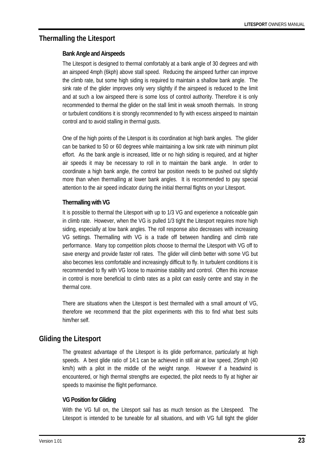# **Thermalling the Litesport**

#### **Bank Angle and Airspeeds**

The Litesport is designed to thermal comfortably at a bank angle of 30 degrees and with an airspeed 4mph (6kph) above stall speed. Reducing the airspeed further can improve the climb rate, but some high siding is required to maintain a shallow bank angle. The sink rate of the glider improves only very slightly if the airspeed is reduced to the limit and at such a low airspeed there is some loss of control authority. Therefore it is only recommended to thermal the glider on the stall limit in weak smooth thermals. In strong or turbulent conditions it is strongly recommended to fly with excess airspeed to maintain control and to avoid stalling in thermal gusts.

One of the high points of the Litesport is its coordination at high bank angles. The glider can be banked to 50 or 60 degrees while maintaining a low sink rate with minimum pilot effort. As the bank angle is increased, little or no high siding is required, and at higher air speeds it may be necessary to roll in to maintain the bank angle. In order to coordinate a high bank angle, the control bar position needs to be pushed out slightly more than when thermalling at lower bank angles. It is recommended to pay special attention to the air speed indicator during the initial thermal flights on your Litesport.

### **Thermalling with VG**

It is possible to thermal the Litesport with up to 1/3 VG and experience a noticeable gain in climb rate. However, when the VG is pulled 1/3 tight the Litesport requires more high siding, especially at low bank angles. The roll response also decreases with increasing VG settings. Thermalling with VG is a trade off between handling and climb rate performance. Many top competition pilots choose to thermal the Litesport with VG off to save energy and provide faster roll rates. The glider will climb better with some VG but also becomes less comfortable and increasingly difficult to fly. In turbulent conditions it is recommended to fly with VG loose to maximise stability and control. Often this increase in control is more beneficial to climb rates as a pilot can easily centre and stay in the thermal core.

There are situations when the Litesport is best thermalled with a small amount of VG, therefore we recommend that the pilot experiments with this to find what best suits him/her self.

# **Gliding the Litesport**

The greatest advantage of the Litesport is its glide performance, particularly at high speeds. A best glide ratio of 14:1 can be achieved in still air at low speed, 25mph (40 km/h) with a pilot in the middle of the weight range. However if a headwind is encountered, or high thermal strengths are expected, the pilot needs to fly at higher air speeds to maximise the flight performance.

### **VG Position for Gliding**

With the VG full on, the Litesport sail has as much tension as the Litespeed. The Litesport is intended to be tuneable for all situations, and with VG full tight the glider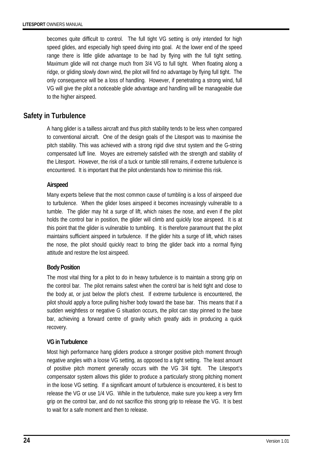becomes quite difficult to control. The full tight VG setting is only intended for high speed glides, and especially high speed diving into goal. At the lower end of the speed range there is little glide advantage to be had by flying with the full tight setting. Maximum glide will not change much from 3/4 VG to full tight. When floating along a ridge, or gliding slowly down wind, the pilot will find no advantage by flying full tight. The only consequence will be a loss of handling. However, if penetrating a strong wind, full VG will give the pilot a noticeable glide advantage and handling will be manageable due to the higher airspeed.

# **Safety in Turbulence**

A hang glider is a tailless aircraft and thus pitch stability tends to be less when compared to conventional aircraft. One of the design goals of the Litesport was to maximise the pitch stability. This was achieved with a strong rigid dive strut system and the G-string compensated luff line. Moyes are extremely satisfied with the strength and stability of the Litesport. However, the risk of a tuck or tumble still remains, if extreme turbulence is encountered. It is important that the pilot understands how to minimise this risk.

### **Airspeed**

Many experts believe that the most common cause of tumbling is a loss of airspeed due to turbulence. When the glider loses airspeed it becomes increasingly vulnerable to a tumble. The glider may hit a surge of lift, which raises the nose, and even if the pilot holds the control bar in position, the glider will climb and quickly lose airspeed. It is at this point that the glider is vulnerable to tumbling. It is therefore paramount that the pilot maintains sufficient airspeed in turbulence. If the glider hits a surge of lift, which raises the nose, the pilot should quickly react to bring the glider back into a normal flying attitude and restore the lost airspeed.

### **Body Position**

The most vital thing for a pilot to do in heavy turbulence is to maintain a strong grip on the control bar. The pilot remains safest when the control bar is held tight and close to the body at, or just below the pilot's chest. If extreme turbulence is encountered, the pilot should apply a force pulling his/her body toward the base bar. This means that if a sudden weightless or negative G situation occurs, the pilot can stay pinned to the base bar, achieving a forward centre of gravity which greatly aids in producing a quick recovery.

### **VG in Turbulence**

Most high performance hang gliders produce a stronger positive pitch moment through negative angles with a loose VG setting, as opposed to a tight setting. The least amount of positive pitch moment generally occurs with the VG 3/4 tight. The Litesport's compensator system allows this glider to produce a particularly strong pitching moment in the loose VG setting. If a significant amount of turbulence is encountered, it is best to release the VG or use 1/4 VG. While in the turbulence, make sure you keep a very firm grip on the control bar, and do not sacrifice this strong grip to release the VG. It is best to wait for a safe moment and then to release.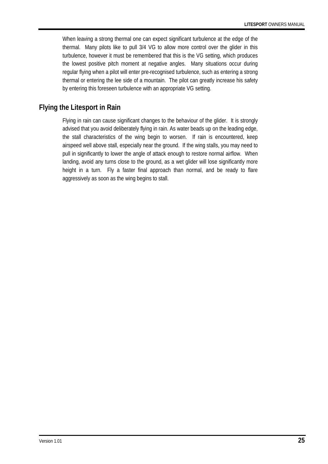When leaving a strong thermal one can expect significant turbulence at the edge of the thermal. Many pilots like to pull 3/4 VG to allow more control over the glider in this turbulence, however it must be remembered that this is the VG setting, which produces the lowest positive pitch moment at negative angles. Many situations occur during regular flying when a pilot will enter pre-recognised turbulence, such as entering a strong thermal or entering the lee side of a mountain. The pilot can greatly increase his safety by entering this foreseen turbulence with an appropriate VG setting.

# **Flying the Litesport in Rain**

Flying in rain can cause significant changes to the behaviour of the glider. It is strongly advised that you avoid deliberately flying in rain. As water beads up on the leading edge, the stall characteristics of the wing begin to worsen. If rain is encountered, keep airspeed well above stall, especially near the ground. If the wing stalls, you may need to pull in significantly to lower the angle of attack enough to restore normal airflow. When landing, avoid any turns close to the ground, as a wet glider will lose significantly more height in a turn. Fly a faster final approach than normal, and be ready to flare aggressively as soon as the wing begins to stall.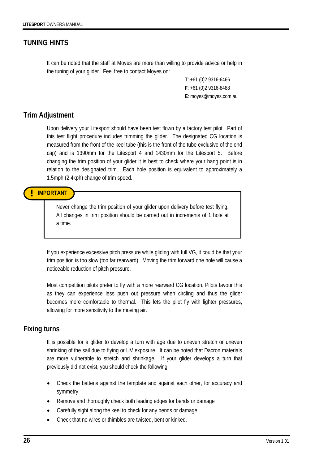# **TUNING HINTS**

It can be noted that the staff at Moyes are more than willing to provide advice or help in the tuning of your glider. Feel free to contact Moyes on:

> **T**: +61 (0)2 9316-6466 **F**: +61 (0)2 9316-8488 **E**: moyes@moyes.com.au

### **Trim Adjustment**

Upon delivery your Litesport should have been test flown by a factory test pilot. Part of this test flight procedure includes trimming the glider. The designated CG location is measured from the front of the keel tube (this is the front of the tube exclusive of the end cap) and is 1390mm for the Litesport 4 and 1430mm for the Litesport 5. Before changing the trim position of your glider it is best to check where your hang point is in relation to the designated trim. Each hole position is equivalent to approximately a 1.5mph (2.4kph) change of trim speed.

**! IMPORTANT** 

Never change the trim position of your glider upon delivery before test flying. All changes in trim position should be carried out in increments of 1 hole at a time.

If you experience excessive pitch pressure while gliding with full VG, it could be that your trim position is too slow (too far rearward). Moving the trim forward one hole will cause a noticeable reduction of pitch pressure.

Most competition pilots prefer to fly with a more rearward CG location. Pilots favour this as they can experience less push out pressure when circling and thus the glider becomes more comfortable to thermal. This lets the pilot fly with lighter pressures, allowing for more sensitivity to the moving air.

## **Fixing turns**

It is possible for a glider to develop a turn with age due to uneven stretch or uneven shrinking of the sail due to flying or UV exposure. It can be noted that Dacron materials are more vulnerable to stretch and shrinkage. If your glider develops a turn that previously did not exist, you should check the following:

- Check the battens against the template and against each other, for accuracy and symmetry
- Remove and thoroughly check both leading edges for bends or damage
- Carefully sight along the keel to check for any bends or damage
- Check that no wires or thimbles are twisted, bent or kinked.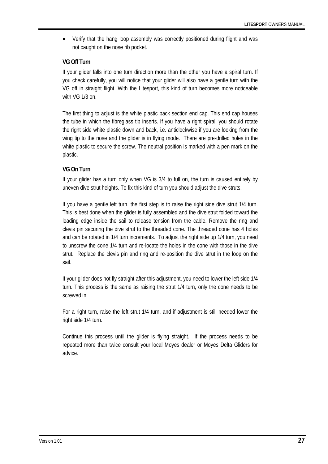• Verify that the hang loop assembly was correctly positioned during flight and was not caught on the nose rib pocket.

#### **VG Off Turn**

If your glider falls into one turn direction more than the other you have a spiral turn. If you check carefully, you will notice that your glider will also have a gentle turn with the VG off in straight flight. With the Litesport, this kind of turn becomes more noticeable with VG 1/3 on.

The first thing to adjust is the white plastic back section end cap. This end cap houses the tube in which the fibreglass tip inserts. If you have a right spiral, you should rotate the right side white plastic down and back, i.e. anticlockwise if you are looking from the wing tip to the nose and the glider is in flying mode. There are pre-drilled holes in the white plastic to secure the screw. The neutral position is marked with a pen mark on the plastic.

#### **VG On Turn**

If your glider has a turn only when VG is 3/4 to full on, the turn is caused entirely by uneven dive strut heights. To fix this kind of turn you should adjust the dive struts.

If you have a gentle left turn, the first step is to raise the right side dive strut 1/4 turn. This is best done when the glider is fully assembled and the dive strut folded toward the leading edge inside the sail to release tension from the cable. Remove the ring and clevis pin securing the dive strut to the threaded cone. The threaded cone has 4 holes and can be rotated in 1/4 turn increments. To adjust the right side up 1/4 turn, you need to unscrew the cone 1/4 turn and re-locate the holes in the cone with those in the dive strut. Replace the clevis pin and ring and re-position the dive strut in the loop on the sail.

If your glider does not fly straight after this adjustment, you need to lower the left side 1/4 turn. This process is the same as raising the strut 1/4 turn, only the cone needs to be screwed in.

For a right turn, raise the left strut 1/4 turn, and if adjustment is still needed lower the right side 1/4 turn.

Continue this process until the glider is flying straight. If the process needs to be repeated more than twice consult your local Moyes dealer or Moyes Delta Gliders for advice.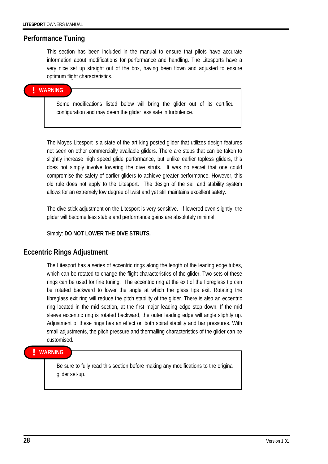#### **Performance Tuning**

This section has been included in the manual to ensure that pilots have accurate information about modifications for performance and handling. The Litesports have a very nice set up straight out of the box, having been flown and adjusted to ensure optimum flight characteristics.

#### **! WARNING**

Some modifications listed below will bring the glider out of its certified configuration and may deem the glider less safe in turbulence.

The Moyes Litesport is a state of the art king posted glider that utilizes design features not seen on other commercially available gliders. There are steps that can be taken to slightly increase high speed glide performance, but unlike earlier topless gliders, this does not simply involve lowering the dive struts. It was no secret that one could compromise the safety of earlier gliders to achieve greater performance. However, this old rule does not apply to the Litesport. The design of the sail and stability system allows for an extremely low degree of twist and yet still maintains excellent safety.

The dive stick adjustment on the Litesport is very sensitive. If lowered even slightly, the glider will become less stable and performance gains are absolutely minimal.

Simply: **DO NOT LOWER THE DIVE STRUTS.** 

### **Eccentric Rings Adjustment**

The Litesport has a series of eccentric rings along the length of the leading edge tubes, which can be rotated to change the flight characteristics of the glider. Two sets of these rings can be used for fine tuning. The eccentric ring at the exit of the fibreglass tip can be rotated backward to lower the angle at which the glass tips exit. Rotating the fibreglass exit ring will reduce the pitch stability of the glider. There is also an eccentric ring located in the mid section, at the first major leading edge step down. If the mid sleeve eccentric ring is rotated backward, the outer leading edge will angle slightly up. Adjustment of these rings has an effect on both spiral stability and bar pressures. With small adjustments, the pitch pressure and thermalling characteristics of the glider can be customised.

#### **! WARNING**

Be sure to fully read this section before making any modifications to the original glider set-up.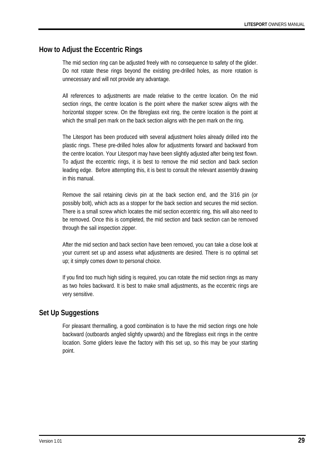# **How to Adjust the Eccentric Rings**

The mid section ring can be adjusted freely with no consequence to safety of the glider. Do not rotate these rings beyond the existing pre-drilled holes, as more rotation is unnecessary and will not provide any advantage.

All references to adjustments are made relative to the centre location. On the mid section rings, the centre location is the point where the marker screw aligns with the horizontal stopper screw. On the fibreglass exit ring, the centre location is the point at which the small pen mark on the back section aligns with the pen mark on the ring.

The Litesport has been produced with several adjustment holes already drilled into the plastic rings. These pre-drilled holes allow for adjustments forward and backward from the centre location. Your Litesport may have been slightly adjusted after being test flown. To adjust the eccentric rings, it is best to remove the mid section and back section leading edge. Before attempting this, it is best to consult the relevant assembly drawing in this manual.

Remove the sail retaining clevis pin at the back section end, and the 3/16 pin (or possibly bolt), which acts as a stopper for the back section and secures the mid section. There is a small screw which locates the mid section eccentric ring, this will also need to be removed. Once this is completed, the mid section and back section can be removed through the sail inspection zipper.

After the mid section and back section have been removed, you can take a close look at your current set up and assess what adjustments are desired. There is no optimal set up; it simply comes down to personal choice.

If you find too much high siding is required, you can rotate the mid section rings as many as two holes backward. It is best to make small adjustments, as the eccentric rings are very sensitive.

# **Set Up Suggestions**

For pleasant thermalling, a good combination is to have the mid section rings one hole backward (outboards angled slightly upwards) and the fibreglass exit rings in the centre location. Some gliders leave the factory with this set up, so this may be your starting point.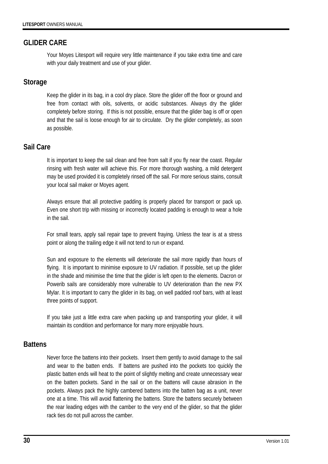### **GLIDER CARE**

Your Moyes Litesport will require very little maintenance if you take extra time and care with your daily treatment and use of your glider.

### **Storage**

Keep the glider in its bag, in a cool dry place. Store the glider off the floor or ground and free from contact with oils, solvents, or acidic substances. Always dry the glider completely before storing. If this is not possible, ensure that the glider bag is off or open and that the sail is loose enough for air to circulate. Dry the glider completely, as soon as possible.

### **Sail Care**

It is important to keep the sail clean and free from salt if you fly near the coast. Regular rinsing with fresh water will achieve this. For more thorough washing, a mild detergent may be used provided it is completely rinsed off the sail. For more serious stains, consult your local sail maker or Moyes agent.

Always ensure that all protective padding is properly placed for transport or pack up. Even one short trip with missing or incorrectly located padding is enough to wear a hole in the sail.

For small tears, apply sail repair tape to prevent fraying. Unless the tear is at a stress point or along the trailing edge it will not tend to run or expand.

Sun and exposure to the elements will deteriorate the sail more rapidly than hours of flying. It is important to minimise exposure to UV radiation. If possible, set up the glider in the shade and minimise the time that the glider is left open to the elements. Dacron or Powerib sails are considerably more vulnerable to UV deterioration than the new PX Mylar. It is important to carry the glider in its bag, on well padded roof bars, with at least three points of support.

If you take just a little extra care when packing up and transporting your glider, it will maintain its condition and performance for many more enjoyable hours.

### **Battens**

Never force the battens into their pockets. Insert them gently to avoid damage to the sail and wear to the batten ends. If battens are pushed into the pockets too quickly the plastic batten ends will heat to the point of slightly melting and create unnecessary wear on the batten pockets. Sand in the sail or on the battens will cause abrasion in the pockets. Always pack the highly cambered battens into the batten bag as a unit, never one at a time. This will avoid flattening the battens. Store the battens securely between the rear leading edges with the camber to the very end of the glider, so that the glider rack ties do not pull across the camber.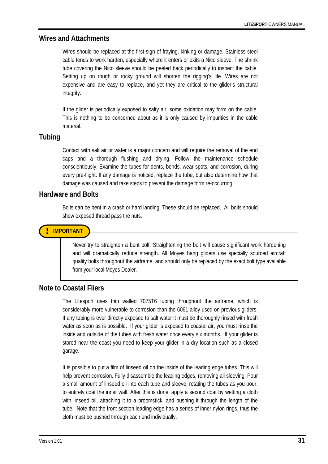#### **Wires and Attachments**

Wires should be replaced at the first sign of fraying, kinking or damage. Stainless steel cable tends to work harden, especially where it enters or exits a Nico sleeve. The shrink tube covering the Nico sleeve should be peeled back periodically to inspect the cable. Setting up on rough or rocky ground will shorten the rigging's life. Wires are not expensive and are easy to replace, and yet they are critical to the glider's structural integrity.

If the glider is periodically exposed to salty air, some oxidation may form on the cable. This is nothing to be concerned about as it is only caused by impurities in the cable material.

#### **Tubing**

Contact with salt air or water is a major concern and will require the removal of the end caps and a thorough flushing and drying. Follow the maintenance schedule conscientiously. Examine the tubes for dents, bends, wear spots, and corrosion, during every pre-flight. If any damage is noticed, replace the tube, but also determine how that damage was caused and take steps to prevent the damage form re-occurring.

#### **Hardware and Bolts**

Bolts can be bent in a crash or hard landing. These should be replaced. All bolts should show exposed thread pass the nuts.

### **! IMPORTANT**

Never try to straighten a bent bolt. Straightening the bolt will cause significant work hardening and will dramatically reduce strength. All Moyes hang gliders use specially sourced aircraft quality bolts throughout the airframe, and should only be replaced by the exact bolt type available from your local Moyes Dealer.

### **Note to Coastal Fliers**

The Litesport uses thin walled 7075T6 tubing throughout the airframe, which is considerably more vulnerable to corrosion than the 6061 alloy used on previous gliders. If any tubing is ever directly exposed to salt water it must be thoroughly rinsed with fresh water as soon as is possible. If your glider is exposed to coastal air, you must rinse the inside and outside of the tubes with fresh water once every six months. If your glider is stored near the coast you need to keep your glider in a dry location such as a closed garage.

It is possible to put a film of linseed oil on the inside of the leading edge tubes. This will help prevent corrosion. Fully disassemble the leading edges, removing all sleeving. Pour a small amount of linseed oil into each tube and sleeve, rotating the tubes as you pour, to entirely coat the inner wall. After this is done, apply a second coat by wetting a cloth with linseed oil, attaching it to a broomstick, and pushing it through the length of the tube. Note that the front section leading edge has a series of inner nylon rings, thus the cloth must be pushed through each end individually.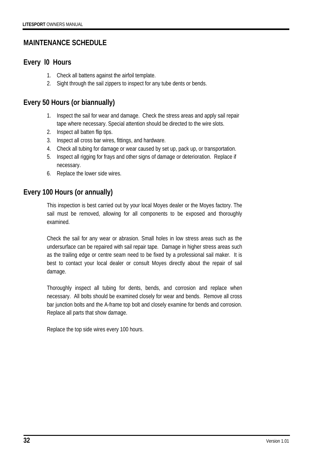# **MAINTENANCE SCHEDULE**

# **Every l0 Hours**

- 1. Check all battens against the airfoil template.
- 2. Sight through the sail zippers to inspect for any tube dents or bends.

# **Every 50 Hours (or biannually)**

- 1. Inspect the sail for wear and damage. Check the stress areas and apply sail repair tape where necessary. Special attention should be directed to the wire slots.
- 2. Inspect all batten flip tips.
- 3. Inspect all cross bar wires, fittings, and hardware.
- 4. Check all tubing for damage or wear caused by set up, pack up, or transportation.
- 5. Inspect all rigging for frays and other signs of damage or deterioration. Replace if necessary.
- 6. Replace the lower side wires.

# **Every 100 Hours (or annually)**

This inspection is best carried out by your local Moyes dealer or the Moyes factory. The sail must be removed, allowing for all components to be exposed and thoroughly examined.

Check the sail for any wear or abrasion. Small holes in low stress areas such as the undersurface can be repaired with sail repair tape. Damage in higher stress areas such as the trailing edge or centre seam need to be fixed by a professional sail maker. It is best to contact your local dealer or consult Moyes directly about the repair of sail damage.

Thoroughly inspect all tubing for dents, bends, and corrosion and replace when necessary. All bolts should be examined closely for wear and bends. Remove all cross bar junction bolts and the A-frame top bolt and closely examine for bends and corrosion. Replace all parts that show damage.

Replace the top side wires every 100 hours.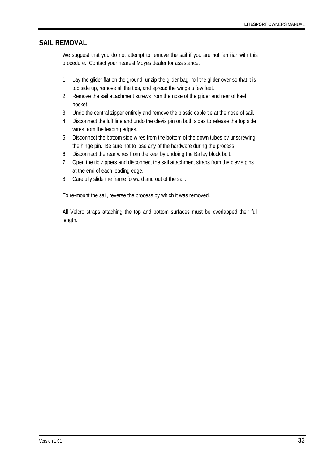### **SAIL REMOVAL**

We suggest that you do not attempt to remove the sail if you are not familiar with this procedure. Contact your nearest Moyes dealer for assistance.

- 1. Lay the glider flat on the ground, unzip the glider bag, roll the glider over so that it is top side up, remove all the ties, and spread the wings a few feet.
- 2. Remove the sail attachment screws from the nose of the glider and rear of keel pocket.
- 3. Undo the central zipper entirely and remove the plastic cable tie at the nose of sail.
- 4. Disconnect the luff line and undo the clevis pin on both sides to release the top side wires from the leading edges.
- 5. Disconnect the bottom side wires from the bottom of the down tubes by unscrewing the hinge pin. Be sure not to lose any of the hardware during the process.
- 6. Disconnect the rear wires from the keel by undoing the Bailey block bolt.
- 7. Open the tip zippers and disconnect the sail attachment straps from the clevis pins at the end of each leading edge.
- 8. Carefully slide the frame forward and out of the sail.

To re-mount the sail, reverse the process by which it was removed.

All Velcro straps attaching the top and bottom surfaces must be overlapped their full length.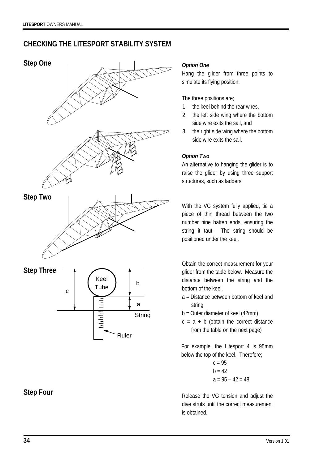# **CHECKING THE LITESPORT STABILITY SYSTEM**



# **Step Four**

#### *Option One*

Hang the glider from three points to simulate its flying position.

The three positions are;

- 1. the keel behind the rear wires,
- 2. the left side wing where the bottom side wire exits the sail, and
- 3. the right side wing where the bottom side wire exits the sail.

#### *Option Two*

An alternative to hanging the glider is to raise the glider by using three support structures, such as ladders.

With the VG system fully applied, tie a piece of thin thread between the two number nine batten ends, ensuring the string it taut. The string should be positioned under the keel.

Obtain the correct measurement for your glider from the table below. Measure the distance between the string and the bottom of the keel.

- a = Distance between bottom of keel and string
- b = Outer diameter of keel (42mm)
- $c = a + b$  (obtain the correct distance from the table on the next page)

For example, the Litesport 4 is 95mm below the top of the keel. Therefore;

$$
c = 95
$$
  
b = 42  
a = 95 - 42 = 48

Release the VG tension and adjust the dive struts until the correct measurement is obtained.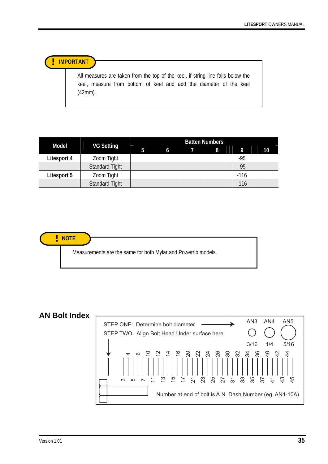**! IMPORTANT** 

All measures are taken from the top of the keel, if string line falls below the keel, measure from bottom of keel and add the diameter of the keel (42mm).

|              |                       | <b>Batten Numbers</b> |   |  |   |        |    |
|--------------|-----------------------|-----------------------|---|--|---|--------|----|
| <b>Model</b> | <b>VG Setting</b>     | 5                     | 6 |  | 8 | 9      | 10 |
| Litesport 4  | Zoom Tight            |                       |   |  |   | -95    |    |
|              | <b>Standard Tight</b> |                       |   |  |   | $-95$  |    |
| Litesport 5  | Zoom Tight            |                       |   |  |   | $-116$ |    |
|              | <b>Standard Tight</b> |                       |   |  |   | $-116$ |    |



# **AN Bolt Index**

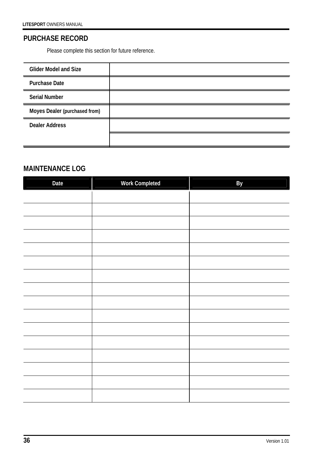# **PURCHASE RECORD**

Please complete this section for future reference.

| <b>Glider Model and Size</b>  |  |
|-------------------------------|--|
| <b>Purchase Date</b>          |  |
| <b>Serial Number</b>          |  |
| Moyes Dealer (purchased from) |  |
| <b>Dealer Address</b>         |  |
|                               |  |

# **MAINTENANCE LOG**

| Date | <b>Work Completed</b> | By |
|------|-----------------------|----|
|      |                       |    |
|      |                       |    |
|      |                       |    |
|      |                       |    |
|      |                       |    |
|      |                       |    |
|      |                       |    |
|      |                       |    |
|      |                       |    |
|      |                       |    |
|      |                       |    |
|      |                       |    |
|      |                       |    |
|      |                       |    |
|      |                       |    |
|      |                       |    |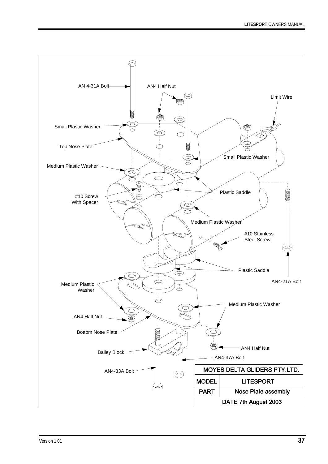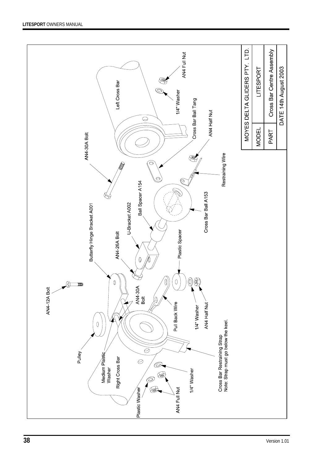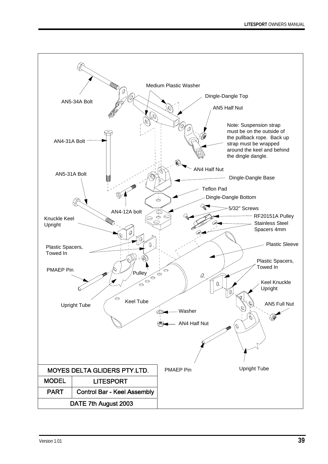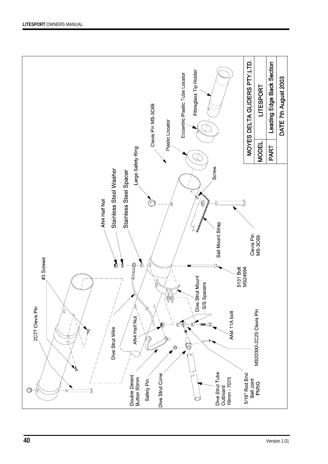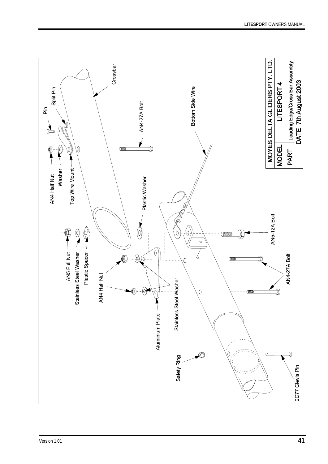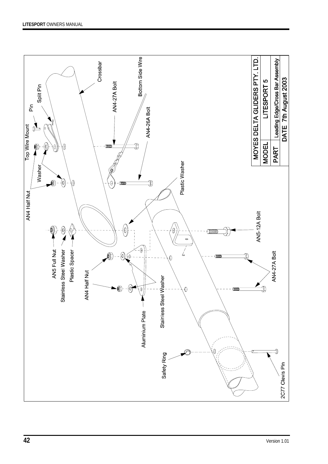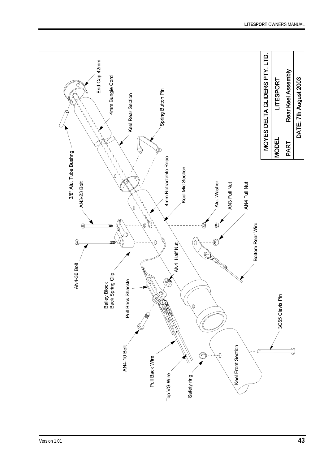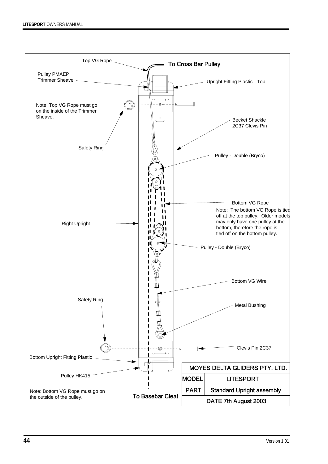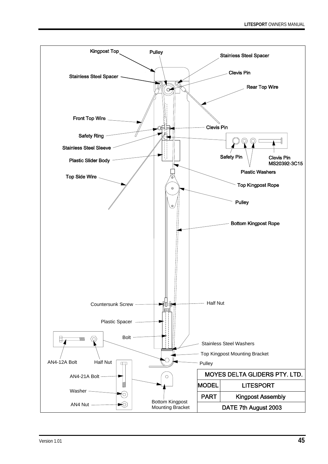